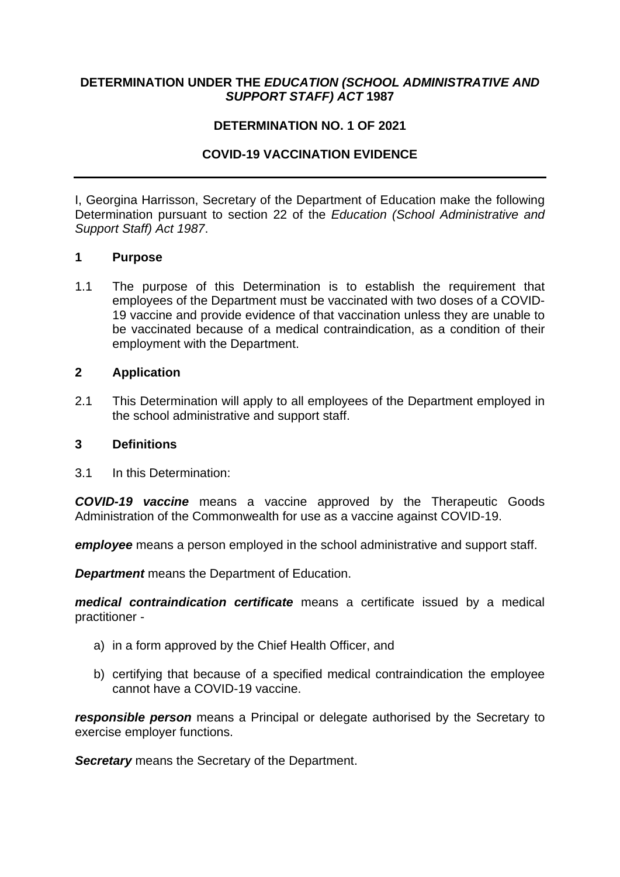## **DETERMINATION UNDER THE** *EDUCATION (SCHOOL ADMINISTRATIVE AND SUPPORT STAFF) ACT* **1987**

## **DETERMINATION NO. 1 OF 2021**

# **COVID-19 VACCINATION EVIDENCE**

I, Georgina Harrisson, Secretary of the Department of Education make the following Determination pursuant to section 22 of the *Education (School Administrative and Support Staff) Act 1987*.

## **1 Purpose**

1.1 The purpose of this Determination is to establish the requirement that employees of the Department must be vaccinated with two doses of a COVID-19 vaccine and provide evidence of that vaccination unless they are unable to be vaccinated because of a medical contraindication, as a condition of their employment with the Department.

#### **2 Application**

2.1 This Determination will apply to all employees of the Department employed in the school administrative and support staff.

#### **3 Definitions**

3.1 In this Determination:

*COVID-19 vaccine* means a vaccine approved by the Therapeutic Goods Administration of the Commonwealth for use as a vaccine against COVID-19.

*employee* means a person employed in the school administrative and support staff.

*Department* means the Department of Education.

*medical contraindication certificate* means a certificate issued by a medical practitioner -

- a) in a form approved by the Chief Health Officer, and
- b) certifying that because of a specified medical contraindication the employee cannot have a COVID-19 vaccine.

*responsible person* means a Principal or delegate authorised by the Secretary to exercise employer functions.

**Secretary** means the Secretary of the Department.